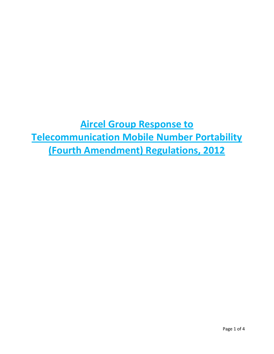**Aircel Group Response to Telecommunication Mobile Number Portability (Fourth Amendment) Regulations, 2012**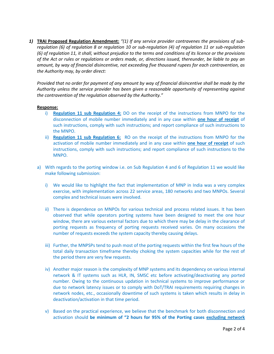*1)* **TRAI Proposed Regulation Amendment:** *"(1) If any service provider contravenes the provisions of subregulation (6) of regulation 8 or regulation 10 or sub-regulation (4) of regulation 11 or sub-regulation (6) of regulation 11, it shall, without prejudice to the terms and conditions of its licence or the provisions of the Act or rules or regulations or orders made, or, directions issued, thereunder, be liable to pay an amount, by way of financial disincentive, not exceeding five thousand rupees for each contravention, as the Authority may, by order direct:* 

*Provided that no order for payment of any amount by way of financial disincentive shall be made by the Authority unless the service provider has been given a reasonable opportunity of representing against the contravention of the regulation observed by the Authority."*

## **Response:**

- i) **Regulation 11 sub Regulation 4:** DO on the receipt of the instructions from MNPO for the disconnection of mobile number immediately and in any case within **one hour of receipt** of such instructions, comply with such instructions; and report compliance of such instructions to the MNPO.
- ii) **Regulation 11 sub Regulation 6:** RO on the receipt of the instructions from MNPO for the activation of mobile number immediately and in any case within **one hour of receipt** of such instructions, comply with such instructions; and report compliance of such instructions to the MNPO.
- a) With regards to the porting window i.e. on Sub Regulation 4 and 6 of Regulation 11 we would like make following submission:
	- i) We would like to highlight the fact that implementation of MNP in India was a very complex exercise, with implementation across 22 service areas, 180 networks and two MNPOs. Several complex and technical issues were involved.
	- ii) There is dependence on MNPOs for various technical and process related issues. It has been observed that while operators porting systems have been designed to meet the one hour window, there are various external factors due to which there may be delay in the clearance of porting requests as frequency of porting requests received varies. On many occasions the number of requests exceeds the system capacity thereby causing delays.
	- iii) Further, the MNPSPs tend to push most of the porting requests within the first few hours of the total daily transaction timeframe thereby choking the system capacities while for the rest of the period there are very few requests.
	- iv) Another major reason is the complexity of MNP systems and its dependency on various internal network & IT systems such as HLR, IN, SMSC etc before activating/deactivating any ported number. Owing to the continuous updation in technical systems to improve performance or due to network latency issues or to comply with DoT/TRAI requirements requiring changes in network nodes, etc., occasionally downtime of such systems is taken which results in delay in deactivation/activation in that time period.
	- v) Based on the practical experience, we believe that the benchmark for both disconnection and activation should **be minimum of "2 hours for 95% of the Porting cases excluding network**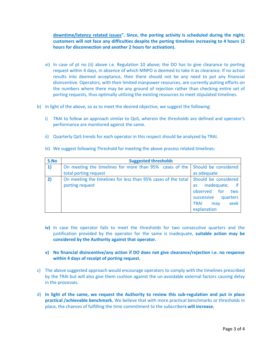**downtime/latency related issues". Since, the porting activity is scheduled during the night; customers will not face any difficulties despite the porting timelines increasing to 4 hours (2 hours for disconnection and another 2 hours for activation).**

- vi) In case of pt no (ii) above i.e. Regulation 10 above; the DO has to give clearance to porting request within 4 days, in absence of which MNPO is deemed to take it as clearance. If no action results into deemed acceptance, then there should not be any need to put any financial disincentive. Operators, with their limited manpower resources, are currently putting efforts on the numbers where there may be any ground of rejection rather than checking entire set of porting requests, thus optimally utilizing the existing resources to meet stipulated timelines.
- b) In light of the above, so as to meet the desired objective, we suggest the following:
	- i) TRAI to follow an approach similar to QoS, wherein the thresholds are defined and operator's performance are monitored against the same.
	- ii) Quarterly QoS trends for each operator in this respect should be analyzed by TRAI.

| S.No | <b>Suggested thresholds</b>                                                                           |                                                                                                                                                |
|------|-------------------------------------------------------------------------------------------------------|------------------------------------------------------------------------------------------------------------------------------------------------|
| 1)   | On meeting the timelines for more than 95% cases of the Should be considered<br>total porting request | as adequate                                                                                                                                    |
| 2)   | On meeting the timelines for less than 95% cases of the total<br>porting request                      | Should be considered<br>inadequate;<br><b>as</b><br>observed for<br>two<br>successive<br>quarters<br>seek<br><b>TRAI</b><br>may<br>explanation |

iii) We suggest following Threshold for meeting the above process related timelines:

- **iv)** In case the operator fails to meet the thresholds for two consecutive quarters and the justification provided by the operator for the same is inadequate, **suitable action may be considered by the Authority against that operator.**
- **v) No financial disincentive/any action if DO does not give clearance/rejection i.e. no response within 4 days of receipt of porting request.**
- c) The above suggested approach would encourage operators to comply with the timelines prescribed by the TRAI but will also give them cushion against the un-avoidable external factors causing delay in the processes.
- d) **In light of the same, we request the Authority to review this sub-regulation and put in place practical /achievable benchmark.** We believe that with more practical benchmarks or thresholds in place, the chances of fulfilling the time commitment to the subscriber**s will increase.**